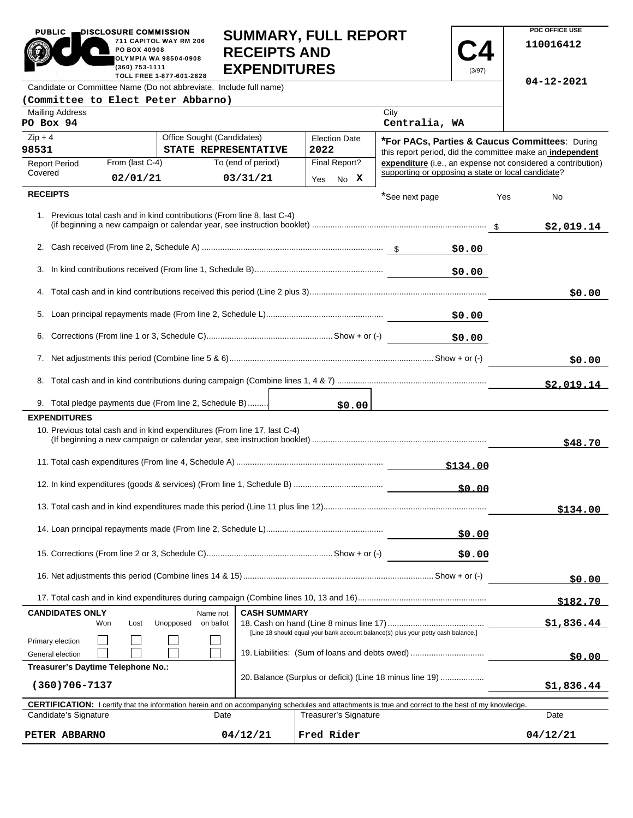|                                                                                                                                                            | 711 CAPITOL WAY RM 206<br>PO BOX 40908<br>OLYMPIA WA 98504-0908<br>$(360)$ 753-1111<br>TOLL FREE 1-877-601-2828 | <b>RECEIPTS AND</b><br><b>EXPENDITURES</b> |                                                                                   |                                                    | (3/97)        |     | 110016412                                                    |
|------------------------------------------------------------------------------------------------------------------------------------------------------------|-----------------------------------------------------------------------------------------------------------------|--------------------------------------------|-----------------------------------------------------------------------------------|----------------------------------------------------|---------------|-----|--------------------------------------------------------------|
| Candidate or Committee Name (Do not abbreviate. Include full name)                                                                                         |                                                                                                                 |                                            |                                                                                   |                                                    |               |     | 04-12-2021                                                   |
| (Committee to Elect Peter Abbarno)                                                                                                                         |                                                                                                                 |                                            |                                                                                   |                                                    |               |     |                                                              |
| <b>Mailing Address</b><br>PO Box 94                                                                                                                        |                                                                                                                 |                                            |                                                                                   | City<br>Centralia, WA                              |               |     |                                                              |
| $Zip + 4$                                                                                                                                                  | Office Sought (Candidates)                                                                                      |                                            | <b>Election Date</b>                                                              |                                                    |               |     | *For PACs, Parties & Caucus Committees: During               |
| 98531                                                                                                                                                      |                                                                                                                 | STATE REPRESENTATIVE                       | 2022                                                                              |                                                    |               |     | this report period, did the committee make an independent    |
| <b>Report Period</b><br>Covered                                                                                                                            | From (last C-4)                                                                                                 | To (end of period)                         | Final Report?                                                                     | supporting or opposing a state or local candidate? |               |     | expenditure (i.e., an expense not considered a contribution) |
|                                                                                                                                                            | 02/01/21                                                                                                        | 03/31/21                                   | No X<br>Yes                                                                       |                                                    |               |     |                                                              |
| <b>RECEIPTS</b>                                                                                                                                            |                                                                                                                 |                                            |                                                                                   | *See next page                                     |               | Yes | No                                                           |
| 1. Previous total cash and in kind contributions (From line 8, last C-4)                                                                                   |                                                                                                                 |                                            |                                                                                   |                                                    |               |     | \$2,019.14                                                   |
|                                                                                                                                                            |                                                                                                                 |                                            |                                                                                   |                                                    | \$0.00        |     |                                                              |
|                                                                                                                                                            |                                                                                                                 |                                            |                                                                                   |                                                    | \$0.00        |     |                                                              |
|                                                                                                                                                            |                                                                                                                 |                                            |                                                                                   |                                                    |               |     | \$0.00                                                       |
|                                                                                                                                                            |                                                                                                                 |                                            |                                                                                   |                                                    | \$0.00        |     |                                                              |
| 6.                                                                                                                                                         |                                                                                                                 |                                            |                                                                                   |                                                    | \$0.00        |     |                                                              |
|                                                                                                                                                            |                                                                                                                 |                                            |                                                                                   |                                                    |               |     | \$0.00                                                       |
|                                                                                                                                                            |                                                                                                                 |                                            |                                                                                   |                                                    |               |     | \$2.019.14                                                   |
| 9. Total pledge payments due (From line 2, Schedule B)                                                                                                     |                                                                                                                 |                                            | \$0.00                                                                            |                                                    |               |     |                                                              |
| <b>EXPENDITURES</b>                                                                                                                                        |                                                                                                                 |                                            |                                                                                   |                                                    |               |     |                                                              |
| 10. Previous total cash and in kind expenditures (From line 17, last C-4)                                                                                  |                                                                                                                 |                                            |                                                                                   |                                                    |               |     | \$48.70                                                      |
|                                                                                                                                                            |                                                                                                                 |                                            |                                                                                   |                                                    | \$134.00      |     |                                                              |
|                                                                                                                                                            |                                                                                                                 |                                            |                                                                                   |                                                    | <u>\$0.00</u> |     |                                                              |
|                                                                                                                                                            |                                                                                                                 |                                            |                                                                                   |                                                    |               |     | \$134.00                                                     |
|                                                                                                                                                            |                                                                                                                 |                                            |                                                                                   |                                                    | \$0.00        |     |                                                              |
|                                                                                                                                                            |                                                                                                                 |                                            |                                                                                   |                                                    | \$0.00        |     |                                                              |
|                                                                                                                                                            |                                                                                                                 |                                            |                                                                                   |                                                    |               |     | \$0.00                                                       |
|                                                                                                                                                            |                                                                                                                 |                                            |                                                                                   |                                                    |               |     | \$182.70                                                     |
| <b>CANDIDATES ONLY</b><br>Won                                                                                                                              | Name not<br>Unopposed<br>on ballot<br>Lost                                                                      | <b>CASH SUMMARY</b>                        | [Line 18 should equal your bank account balance(s) plus your petty cash balance.] |                                                    |               |     | \$1,836.44                                                   |
| Primary election<br>19. Liabilities: (Sum of loans and debts owed)<br>General election                                                                     |                                                                                                                 |                                            |                                                                                   |                                                    | \$0.00        |     |                                                              |
| Treasurer's Daytime Telephone No.:<br>20. Balance (Surplus or deficit) (Line 18 minus line 19)<br>$(360)706 - 7137$                                        |                                                                                                                 |                                            |                                                                                   |                                                    | \$1,836.44    |     |                                                              |
| <b>CERTIFICATION:</b> I certify that the information herein and on accompanying schedules and attachments is true and correct to the best of my knowledge. |                                                                                                                 |                                            |                                                                                   |                                                    |               |     |                                                              |

**SUMMARY, FULL REPORT** 

 $\sim$   $\sim$ 

**PDC OFFICE USE** 

PUBLIC **DISCLOSURE COMMISSION** 

711 CAPITOL WAY RM 206

Candidate's Signature Date Treasurer's Signature Date  $04/12/21$ **PETER ABBARNO 04/12/21 Fred Rider 04/12/21**